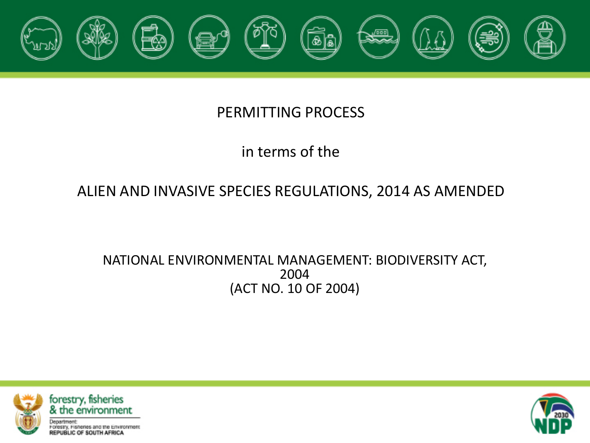

#### PERMITTING PROCESS

### in terms of the

#### ALIEN AND INVASIVE SPECIES REGULATIONS, 2014 AS AMENDED

#### NATIONAL ENVIRONMENTAL MANAGEMENT: BIODIVERSITY ACT, 2004 (ACT NO. 10 OF 2004)



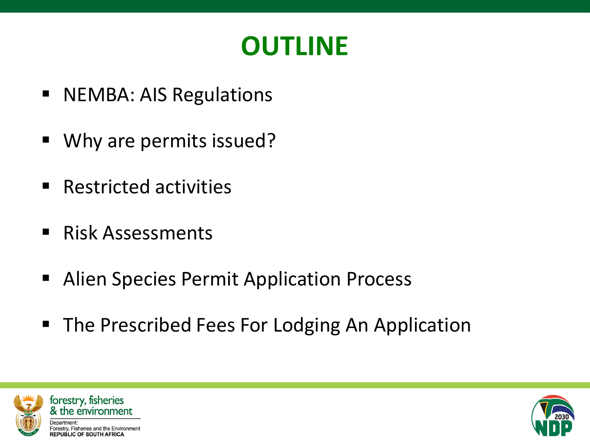

- NEMBA: AIS Regulations
- Why are permits issued?
- Restricted activities
- Risk Assessments
- **Alien Species Permit Application Process**
- The Prescribed Fees For Lodging An Application





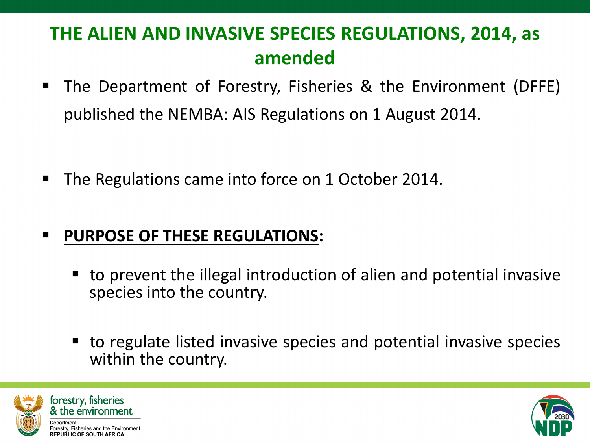### **THE ALIEN AND INVASIVE SPECIES REGULATIONS, 2014, as amended**

 The Department of Forestry, Fisheries & the Environment (DFFE) published the NEMBA: AIS Regulations on 1 August 2014.

■ The Regulations came into force on 1 October 2014.

### **PURPOSE OF THESE REGULATIONS:**

- to prevent the illegal introduction of alien and potential invasive species into the country.
- to regulate listed invasive species and potential invasive species within the country.





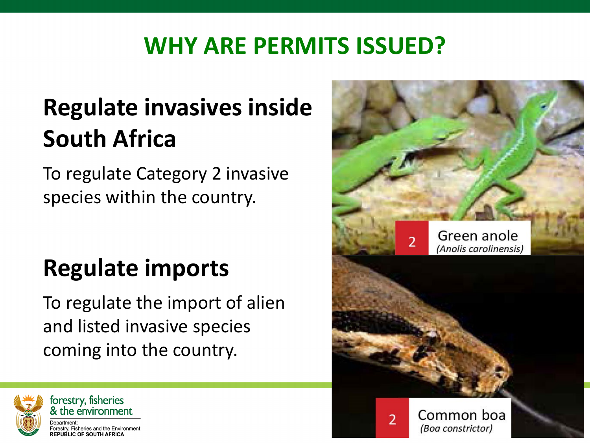# **WHY ARE PERMITS ISSUED?**

# **Regulate invasives inside South Africa**

To regulate Category 2 invasive species within the country.

# **Regulate imports**

To regulate the import of alien and listed invasive species coming into the country.



forestry, fisheries & the environment orestry, Fisheries and the Environment

**REPUBLIC OF SOUTH AFRICA** 

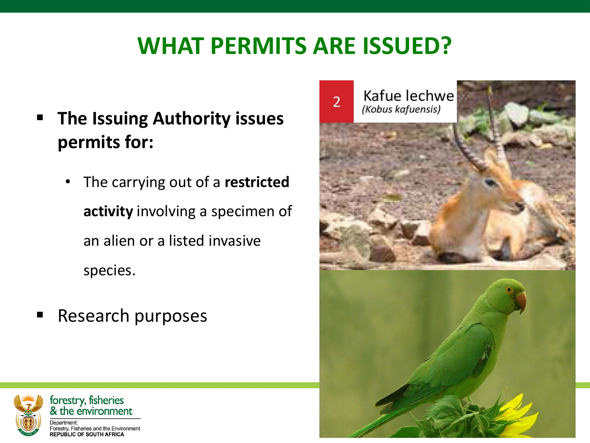# **WHAT PERMITS ARE ISSUED?**

- **The Issuing Authority issues permits for:** 
	- The carrying out of a **restricted activity** involving a specimen of an alien or a listed invasive species.
- Research purposes





**REPUBLIC OF SOUTH AFRICA**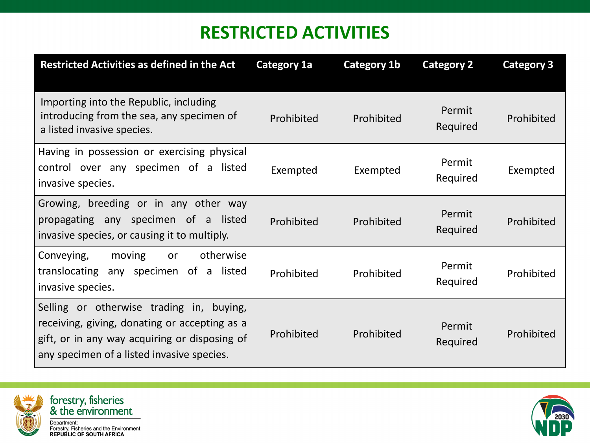### **RESTRICTED ACTIVITIES**

| <b>Restricted Activities as defined in the Act</b>                                                                                                                                       | <b>Category 1a</b> | Category 1b | <b>Category 2</b>  | <b>Category 3</b> |
|------------------------------------------------------------------------------------------------------------------------------------------------------------------------------------------|--------------------|-------------|--------------------|-------------------|
| Importing into the Republic, including<br>introducing from the sea, any specimen of<br>a listed invasive species.                                                                        | Prohibited         | Prohibited  | Permit<br>Required | Prohibited        |
| Having in possession or exercising physical<br>control over any specimen of a listed<br>invasive species.                                                                                | Exempted           | Exempted    | Permit<br>Required | Exempted          |
| Growing, breeding or in any other way<br>propagating any specimen of a listed<br>invasive species, or causing it to multiply.                                                            | Prohibited         | Prohibited  | Permit<br>Required | Prohibited        |
| otherwise<br>Conveying,<br>moving<br>or<br>translocating any specimen of<br>listed<br>a<br>invasive species.                                                                             | Prohibited         | Prohibited  | Permit<br>Required | Prohibited        |
| Selling or otherwise trading in, buying,<br>receiving, giving, donating or accepting as a<br>gift, or in any way acquiring or disposing of<br>any specimen of a listed invasive species. | Prohibited         | Prohibited  | Permit<br>Required | Prohibited        |



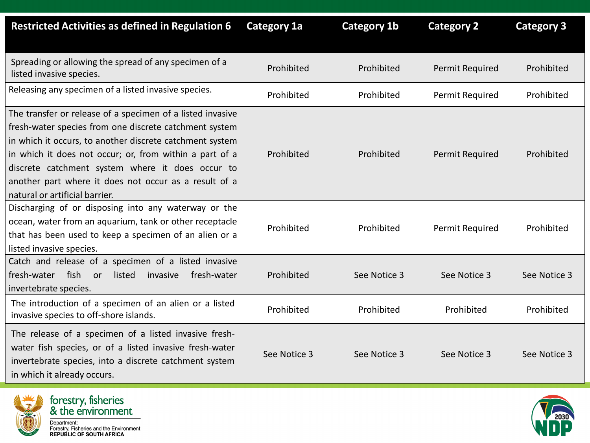| <b>Restricted Activities as defined in Regulation 6</b>                                                                                                                                                                                                                                                                                                                                    | <b>Category 1a</b> | <b>Category 1b</b> | <b>Category 2</b> | <b>Category 3</b> |
|--------------------------------------------------------------------------------------------------------------------------------------------------------------------------------------------------------------------------------------------------------------------------------------------------------------------------------------------------------------------------------------------|--------------------|--------------------|-------------------|-------------------|
| Spreading or allowing the spread of any specimen of a<br>listed invasive species.                                                                                                                                                                                                                                                                                                          | Prohibited         | Prohibited         | Permit Required   | Prohibited        |
| Releasing any specimen of a listed invasive species.                                                                                                                                                                                                                                                                                                                                       | Prohibited         | Prohibited         | Permit Required   | Prohibited        |
| The transfer or release of a specimen of a listed invasive<br>fresh-water species from one discrete catchment system<br>in which it occurs, to another discrete catchment system<br>in which it does not occur; or, from within a part of a<br>discrete catchment system where it does occur to<br>another part where it does not occur as a result of a<br>natural or artificial barrier. | Prohibited         | Prohibited         | Permit Required   | Prohibited        |
| Discharging of or disposing into any waterway or the<br>ocean, water from an aquarium, tank or other receptacle<br>that has been used to keep a specimen of an alien or a<br>listed invasive species.                                                                                                                                                                                      | Prohibited         | Prohibited         | Permit Required   | Prohibited        |
| Catch and release of a specimen of a listed invasive<br>fish<br>fresh-water<br>listed<br>invasive<br>fresh-water<br>or<br>invertebrate species.                                                                                                                                                                                                                                            | Prohibited         | See Notice 3       | See Notice 3      | See Notice 3      |
| The introduction of a specimen of an alien or a listed<br>invasive species to off-shore islands.                                                                                                                                                                                                                                                                                           | Prohibited         | Prohibited         | Prohibited        | Prohibited        |
| The release of a specimen of a listed invasive fresh-<br>water fish species, or of a listed invasive fresh-water<br>invertebrate species, into a discrete catchment system<br>in which it already occurs.                                                                                                                                                                                  | See Notice 3       | See Notice 3       | See Notice 3      | See Notice 3      |





Department:<br>Department:<br>Forestry, Fisheries and the Environment<br>REPUBLIC OF SOUTH AFRICA

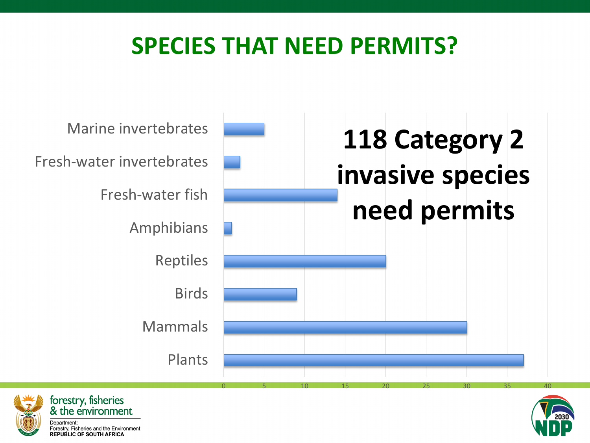## **SPECIES THAT NEED PERMITS?**







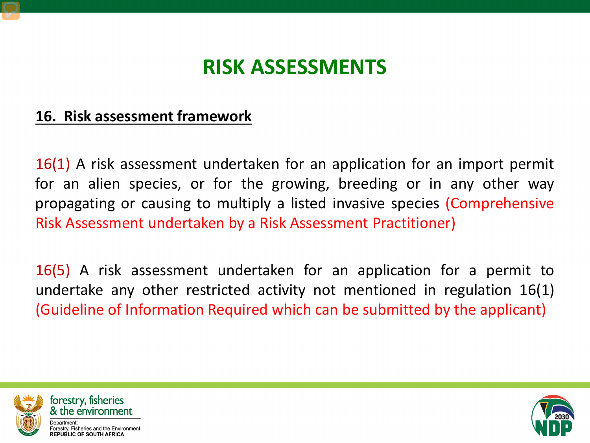### **RISK ASSESSMENTS**

#### **16. Risk assessment framework**

16(1) A risk assessment undertaken for an application for an import permit for an alien species, or for the growing, breeding or in any other way propagating or causing to multiply a listed invasive species (Comprehensive Risk Assessment undertaken by a Risk Assessment Practitioner)

16(5) A risk assessment undertaken for an application for a permit to undertake any other restricted activity not mentioned in regulation 16(1) (Guideline of Information Required which can be submitted by the applicant)





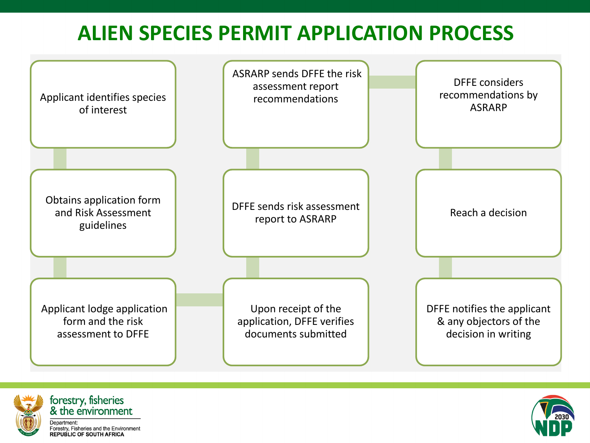### **ALIEN SPECIES PERMIT APPLICATION PROCESS**







Forestry, Fisheries and the Environment<br>REPUBLIC OF SOUTH AFRICA

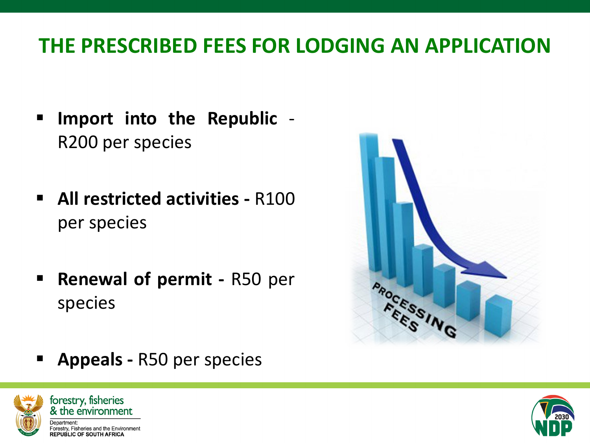### **THE PRESCRIBED FEES FOR LODGING AN APPLICATION**

- **Import into the Republic** R200 per species
- **All restricted activities -** R100 per species
- **Renewal of permit R50 per** species

**Appeals -** R50 per species